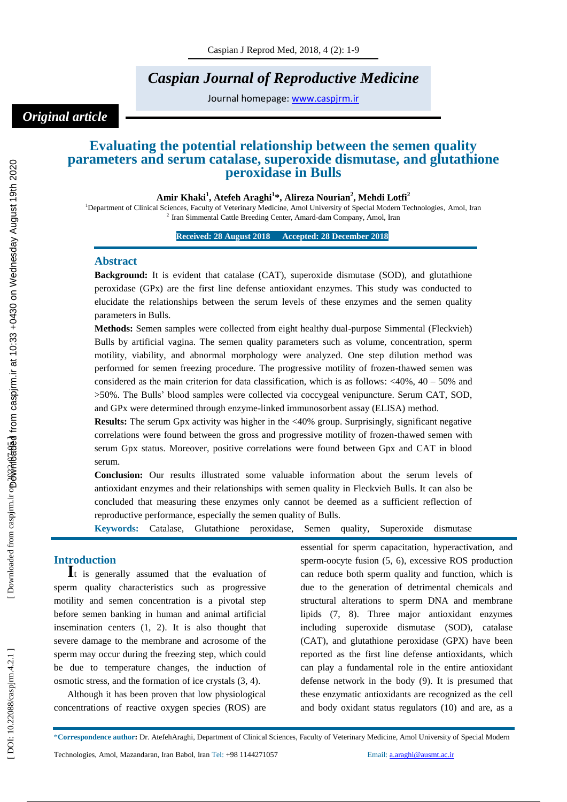# *Caspian Journal of Reproductive Medicine*

Journal homepage: www.caspjrm.ir

# *Original article*

# **Evaluating the potential relationship between the semen quality parameters and serum catalase, superoxide dismutase, and glutathione peroxidase in Bulls**

**Amir Khaki 1 , Atefeh Araghi 1 \*, Alireza Nourian 2 , Mehdi Lotfi 2**

<sup>1</sup>Department of Clinical Sciences, Faculty of Veterinary Medicine, Amol University of Special Modern Technologies, Amol, Iran <sup>2</sup> Iran Simmental Cattle Breeding Center, Amard-dam Company, Amol, Iran

**Received: 2 8 August 2018 Accepted: 2 8 December 2018 1**

#### **Abstract**

**Background:** It is evident that catalase (CAT), superoxide dismutase (SOD), and glutathione peroxidase (GPx) are the first line defense antioxidant enzymes. This study was conducted to elucidate the relationships between the serum levels of these enzymes and the semen quality parameters in Bulls.

**Methods:** Semen samples were collected from eight healthy dual -purpose Simmental (Fleckvieh) Bulls by artificial vagina. The semen quality parameters such as volume, concentration, sperm motility, viability, and abnormal morphology were analyzed. One step dilution method was performed for semen freezing procedure. The progressive motility of frozen -thawed semen was considered as the main criterion for data classification, which is as follows:  $\langle 40\%, 40 - 50\% \rangle$  and >50%. The Bulls' blood samples were collected via coccygeal venipuncture. Serum CAT, SOD, and GPx were determined through enzyme -linked immunosorbent assay (ELISA) method.

**Results:** The serum Gpx activity was higher in the <40% group. Surprisingly, significant negative correlations were found between the gross and progressive motility of frozen -thawed semen with serum Gpx status. Moreover, positive correlations were found between Gpx and CAT in blood serum.

**Conclusion:** Our results illustrated some valuable information about the serum levels of antioxidant enzymes and their relationships with semen quality in Fleckvieh Bulls. It can also be concluded that measuring these enzymes only cannot be deemed as a sufficient reflection of reproductive performance, especially the semen quality of Bulls .

**Keywords:** Catalase, Glutathione peroxidase, Semen quality, Superoxide dismutase

**Introduction**<br>**I**t is generally assumed that the evaluation of sperm quality characteristics such as progressive motility and semen concentration is a pivotal step before semen banking in human and animal artificial insemination centers (1, 2). It is also thought that severe damage to the membrane and acrosome of the sperm may occur during the freezing step, which could be due to temperature changes, the induction of osmotic stress, and the formation of ice crystals (3, 4).

Although it has been proven that low physiological concentrations of reactive oxygen species (ROS) are essential for sperm capacitation, hyperactivation, and sperm -oocyte fusion (5, 6), excessive ROS production can reduce both sperm quality and function, which is due to the generation of detrimental chemicals and structural alterations to sperm DNA and membrane lipids (7, 8). Three major antioxidant enzymes including superoxide dismutase (SOD), catalase (CAT), and glutathione peroxidase (GPX) have been reported as the first line defense antioxidants, which can play a fundamental role in the entire antioxidant defense network in the body (9). It is presumed that these enzymatic antioxidants are recognized as the cell and body oxidant status regulators (10) and are, as a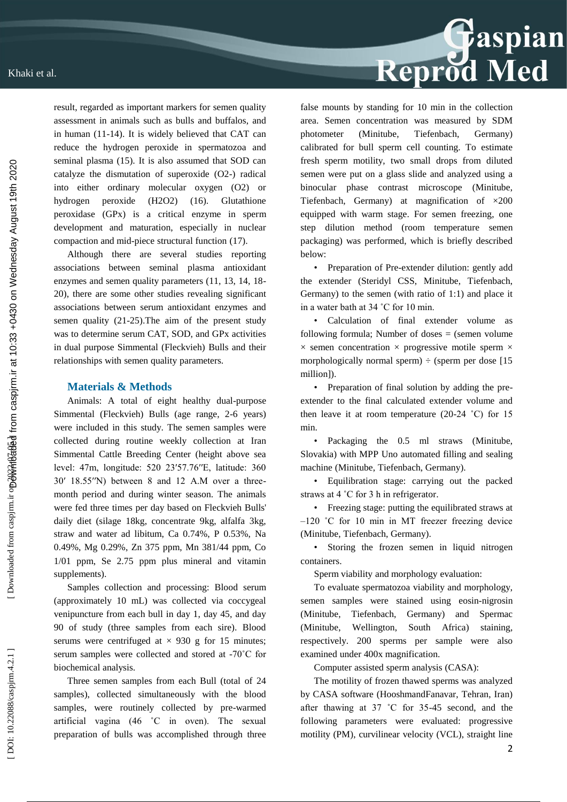

result, regarded as important markers for semen quality assessment in animals such as bulls and buffalos, and in human (11 -14). It is widely believed that CAT can reduce the hydrogen peroxide in spermatozoa and seminal plasma (15). It is also assumed that SOD can catalyze the dismutation of superoxide (O2 -) radical into either ordinary molecular oxygen (O2) or hydrogen peroxide (H2O2) (16). Glutathione peroxidase (GPx) is a critical enzyme in sperm development and maturation, especially in nuclear compaction and mid -piece structural function (17).

Although there are several studies reporting associations between seminal plasma antioxidant enzymes and semen quality parameters (11, 13, 14, 18-20), there are some other studies revealing significant associations between serum antioxidant enzymes and semen quality (21 -25).The aim of the present study was to determine serum CAT, SOD, and GPx activities in dual purpose Simmental (Fleckvieh) Bulls and their relationships with semen quality parameters.

#### **Materials & Methods**

Animals: A total of eight healthy dual -purpose Simmental (Fleckvieh) Bulls (age range, 2 -6 years) were included in this study. The semen samples were collected during routine weekly collection at Iran Simmental Cattle Breeding Center (height above sea level: 47m, longitude: 520 23′57.76′′E, latitude: 360 30′ 18.55′′N) between 8 and 12 A.M over a three month period and during winter season. The animals were fed three times per day based on Fleckvieh Bulls' daily diet (silage 18kg, concentrate 9kg, alfalfa 3kg, straw and water ad libitum, Ca 0.74%, P 0.53%, Na 0.49%, Mg 0.29%, Zn 375 ppm, Mn 381/44 ppm, Co 1/01 ppm, Se 2.75 ppm plus mineral and vitamin supplements).

Samples collection and processing: Blood serum (approximately 10 mL) was collected via coccygeal venipuncture from each bull in day 1, day 45, and day 90 of study (three samples from each sire). Blood serums were centrifuged at  $\times$  930 g for 15 minutes; serum samples were collected and stored at -70°C for biochemical analysis.

Three semen samples from each Bull (total of 24 samples), collected simultaneously with the blood samples, were routinely collected by pre -warmed artificial vagina (46 ˚C in oven). The sexual preparation of bulls was accomplished through three

false mounts by standing for 10 min in the collection area. Semen concentration was measured by SDM photometer (Minitube, Tiefenbach, Germany) calibrated for bull sperm cell counting. To estimate fresh sperm motility, two small drops from diluted semen were put on a glass slide and analyzed using a binocular phase contrast microscope (Minitube, Tiefenbach, Germany) at magnification of  $\times 200$ equipped with warm stage. For semen freezing, one step dilution method (room temperature semen packaging) was performed, which is briefly described below:

• Preparation of Pre -extender dilution: gently add the extender (Steridyl CSS, Minitube, Tiefenbach, Germany) to the semen (with ratio of 1:1) and place it in a water bath at 34 ˚C for 10 min.

• Calculation of final extender volume as following formula: Number of doses  $=$  (semen volume  $\times$  semen concentration  $\times$  progressive motile sperm  $\times$ morphologically normal sperm)  $\div$  (sperm per dose [15] million]).

• Preparation of final solution by adding the pre extender to the final calculated extender volume and then leave it at room temperature  $(20-24 \degree C)$  for 15 min.<br>• Packaging the 0.5 ml straws (Minitube,

Slovakia) with MPP Uno automated filling and sealing machine (Minitube, Tiefenbach, Germany).

• Equilibration stage: carrying out the packed straws at 4 ˚C for 3 h in refrigerator.

• Freezing stage: putting the equilibrated straws at –120 °C for 10 min in MT freezer freezing device (Minitube, Tiefenbach, Germany).

• Storing the frozen semen in liquid nitrogen containers.

Sperm viability and morphology evaluation:

To evaluate spermatozoa viability and morphology, semen samples were stained using eosin -nigrosin (Minitube, Tiefenbach, Germany) and Spermac (Minitube, Wellington, South Africa) staining, respectively. 200 sperms per sample were also examined under 400x magnification.

Computer assisted sperm analysis (CASA):

The motility of frozen thawed sperms was analyzed by CASA software (HooshmandFanavar, Tehran, Iran) after thawing at 37 ˚C for 35 -45 second, and the following parameters were evaluated: progressive motility (PM), curvilinear velocity (VCL), straight line

DOI: 10.22088/caspjrm.4.2.1]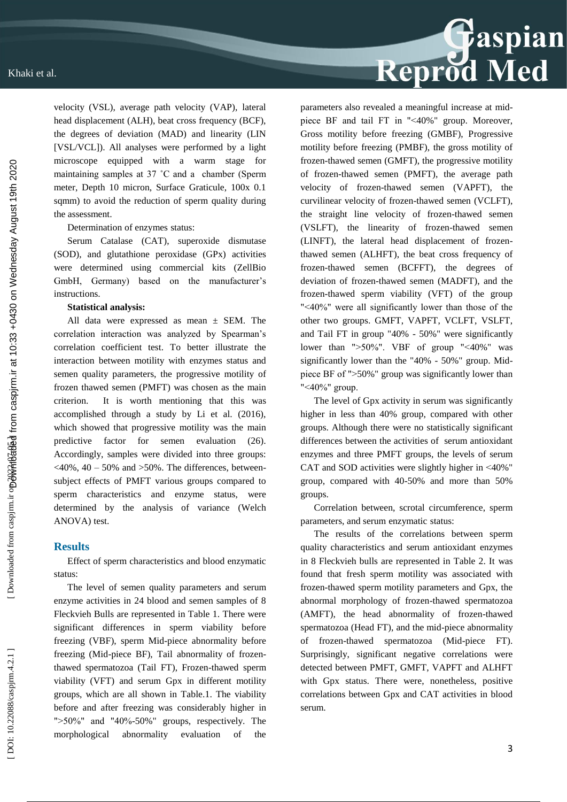

velocity (VSL), average path velocity (VAP), lateral head displacement (ALH), beat cross frequency (BCF), the degrees of deviation (MAD) and linearity (LIN [VSL/VCL]). All analyses were performed by a light microscope equipped with a warm stage for maintaining samples at 37 ˚C and a chamber (Sperm meter, Depth 10 micron, Surface Graticule, 100x 0.1 sqmm) to avoid the reduction of sperm quality during the assessment.

Determination of enzymes status:

Serum Catalase (CAT), superoxide dismutase (SOD), and glutathione peroxidase (GPx) activities were determined using commercial kits (ZellBio GmbH, Germany) based on the manufacturer's instructions.

#### **Statistical analysis:**

All data were expressed as mean  $\pm$  SEM. The correlation interaction was analyzed by Spearman's correlation coefficient test. To better illustrate the interaction between motility with enzymes status and semen quality parameters, the progressive motility of frozen thawed semen (PMFT) was chosen as the main criterion. It is worth mentioning that this was accomplished through a study by Li et al. (2016), which showed that progressive motility was the main predictive factor for semen evaluation (26). Accordingly, samples were divided into three groups:  $<40\%$ , 40 – 50% and > 50%. The differences, betweensubject effects of PMFT various groups compared to sperm characteristics and enzyme status, were determined by the analysis of variance (Welch ANOVA) test.

#### **Results**

Effect of sperm characteristics and blood enzymatic status:

The level of semen quality parameters and serum enzyme activities in 24 blood and semen samples of 8 Fleckvieh Bulls are represented in Table 1. There were significant differences in sperm viability before freezing (VBF), sperm Mid -piece abnormality before freezing (Mid -piece BF), Tail abnormality of frozen thawed spermatozoa (Tail FT), Frozen -thawed sperm viability (VFT) and serum Gpx in different motility groups, which are all shown in Table.1. The viability before and after freezing was considerably higher in ">50%" and "40%-50%" groups, respectively. The morphological abnormality evaluation of the

parameters also revealed a meaningful increase at mid piece BF and tail FT in "˂40%" group. Moreover, Gross motility before freezing (GMBF), Progressive motility before freezing (PMBF), the gross motility of frozen -thawed semen (GMFT), the progressive motility of frozen -thawed semen (PMFT), the average path velocity of frozen -thawed semen (VAPFT), the curvilinear velocity of frozen -thawed semen (VCLFT), the straight line velocity of frozen -thawed semen (VSLFT), the linearity of frozen -thawed semen (LINFT), the lateral head displacement of frozen thawed semen (ALHFT), the beat cross frequency of frozen -thawed semen (BCFFT), the degrees of deviation of frozen -thawed semen (MADFT), and the frozen -thawed sperm viability (VFT) of the group "˂40%" were all significantly lower than those of the other two groups. GMFT, VAPFT, VCLFT, VSLFT, and Tail FT in group "40% - 50%" were significantly lower than ">50%". VBF of group "<40%" was significantly lower than the "40% - 50%" group. Mid piece BF of "˃50%" group was significantly lower than "˂40%" group.

The level of Gpx activity in serum was significantly higher in less than 40% group, compared with other groups. Although there were no statistically significant differences between the activities of serum antioxidant enzymes and three PMFT groups, the levels of serum CAT and SOD activities were slightly higher in ˂40%" group, compared with 40 -50% and more than 50% groups.

Correlation between, scrotal circumference, sperm parameters, and serum enzymatic status:

The results of the correlations between sperm quality characteristics and serum antioxidant enzymes in 8 Fleckvieh bulls are represented in Table 2. It was found that fresh sperm motility was associated with frozen -thawed sperm motility parameters and Gpx, the abnormal morphology of frozen -thawed spermatozoa (AMFT), the head abnormality of frozen -thawed spermatozoa (Head FT), and the mid -piece abnormality of frozen -thawed spermatozoa (Mid -piece FT). Surprisingly, significant negative correlations were detected between PMFT, GMFT, VAPFT and ALHFT with Gpx status. There were, nonetheless, positive correlations between Gpx and CAT activities in blood serum.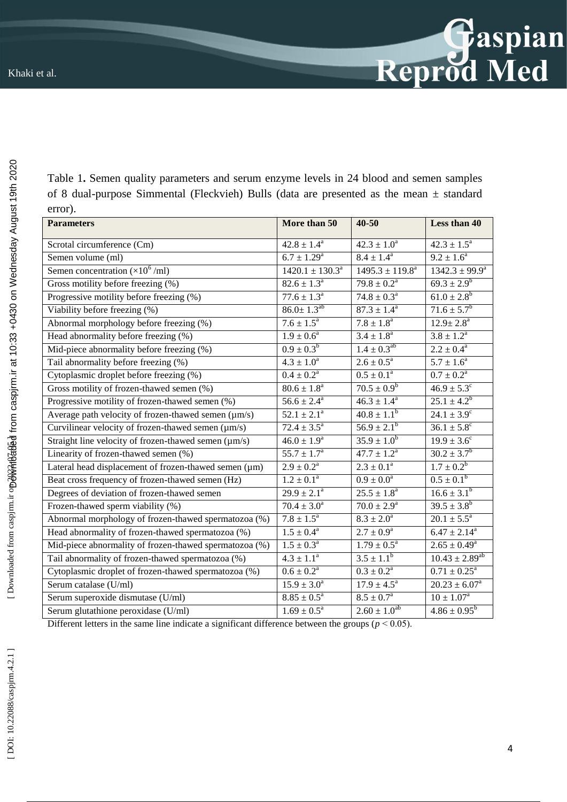| Table 1. Semen quality parameters and serum enzyme levels in 24 blood and semen samples      |  |
|----------------------------------------------------------------------------------------------|--|
| of 8 dual-purpose Simmental (Fleckvieh) Bulls (data are presented as the mean $\pm$ standard |  |
| error).                                                                                      |  |

| <b>Parameters</b>                                      | More than 50              | $40 - 50$                 | Less than 40               |
|--------------------------------------------------------|---------------------------|---------------------------|----------------------------|
| Scrotal circumference (Cm)                             | $42.8 \pm 1.4^a$          | $42.3 \pm 1.0^a$          | $42.3 \pm 1.5^a$           |
| Semen volume (ml)                                      | $6.7 \pm 1.29^{\text{a}}$ | $8.4 \pm 1.4^{\circ}$     | $9.2 \pm 1.6^a$            |
| Semen concentration $(\times 10^6$ /ml)                | $1420.1 \pm 130.3^a$      | $1495.3 \pm 119.8^a$      | $1342.3 \pm 99.9^a$        |
| Gross motility before freezing (%)                     | $82.6 \pm 1.3^{\circ}$    | $79.8 \pm 0.2^a$          | $69.3 \pm 2.9^b$           |
| Progressive motility before freezing (%)               | $77.6 \pm 1.3^{\circ}$    | $74.8 \pm 0.3^{\circ}$    | $61.0 \pm 2.8^b$           |
| Viability before freezing (%)                          | $86.0 \pm 1.3^{ab}$       | $87.3 \pm 1.4^{\circ}$    | $71.6 \pm 5.7^b$           |
| Abnormal morphology before freezing (%)                | $7.6 \pm 1.5^{\circ}$     | $7.8 \pm 1.8^a$           | $12.9 \pm 2.8^{\text{a}}$  |
| Head abnormality before freezing (%)                   | $1.9 \pm 0.6^a$           | $3.4 \pm 1.8^a$           | $3.8 \pm 1.2^a$            |
| Mid-piece abnormality before freezing (%)              | $0.9 \pm 0.3^b$           | $1.4 \pm 0.3^{ab}$        | $2.2 \pm 0.4^a$            |
| Tail abnormality before freezing (%)                   | $4.3 \pm 1.0^a$           | $2.6 \pm 0.5^a$           | $5.7 \pm 1.6^a$            |
| Cytoplasmic droplet before freezing (%)                | $0.4 \pm 0.2^a$           | $0.5 \pm 0.1^a$           | $0.7 \pm 0.2^{\rm a}$      |
| Gross motility of frozen-thawed semen (%)              | $80.6 \pm 1.8^a$          | $70.5 \pm 0.9^b$          | $46.9 \pm 5.3^{\circ}$     |
| Progressive motility of frozen-thawed semen (%)        | $56.6 \pm 2.4^a$          | $46.3 \pm 1.4^a$          | $25.1 \pm 4.2^b$           |
| Average path velocity of frozen-thawed semen (µm/s)    | $52.1 \pm 2.1^a$          | $40.8 \pm 1.1^b$          | $24.1 \pm 3.9^{\circ}$     |
| Curvilinear velocity of frozen-thawed semen (µm/s)     | $72.4 \pm 3.5^a$          | $56.9 \pm 2.1^b$          | $36.1 \pm 5.8^{\circ}$     |
| Straight line velocity of frozen-thawed semen (µm/s)   | $46.0 \pm 1.9^a$          | $35.9 \pm 1.0^b$          | $19.9 \pm 3.6^{\circ}$     |
| Linearity of frozen-thawed semen (%)                   | $55.7 \pm 1.7^{\circ}$    | $47.7 \pm 1.2^a$          | $30.2 \pm 3.7^b$           |
| Lateral head displacement of frozen-thawed semen (µm)  | $2.9 \pm 0.2^a$           | $2.3 \pm 0.1^a$           | $1.7 \pm 0.2^b$            |
| Beat cross frequency of frozen-thawed semen (Hz)       | $1.2 \pm 0.1^a$           | $0.9 \pm 0.0^a$           | $0.5 \pm 0.1^b$            |
| Degrees of deviation of frozen-thawed semen            | $29.9 \pm 2.1^a$          | $25.5 \pm 1.8^a$          | $16.6 \pm 3.1^b$           |
| Frozen-thawed sperm viability (%)                      | $70.4 \pm 3.0^a$          | $70.0 \pm 2.9^{\text{a}}$ | $39.5 \pm 3.8^b$           |
| Abnormal morphology of frozen-thawed spermatozoa (%)   | $7.8 \pm 1.5^a$           | $8.3 \pm 2.0^a$           | $20.1 \pm 5.5^a$           |
| Head abnormality of frozen-thawed spermatozoa (%)      | $1.5 \pm 0.4^{\circ}$     | $2.7 \pm 0.9^a$           | $6.47 \pm 2.14^a$          |
| Mid-piece abnormality of frozen-thawed spermatozoa (%) | $1.5 \pm 0.3^a$           | $1.79 \pm 0.5^{\text{a}}$ | $2.65 \pm 0.49^a$          |
| Tail abnormality of frozen-thawed spermatozoa (%)      | $4.3 \pm 1.1^a$           | $3.5 \pm 1.1^b$           | $10.43 \pm 2.89^{ab}$      |
| Cytoplasmic droplet of frozen-thawed spermatozoa (%)   | $0.6 \pm 0.2^a$           | $0.3 \pm 0.2^{\text{a}}$  | $0.71 \pm 0.25^{\text{a}}$ |
| Serum catalase (U/ml)                                  | $15.9 \pm 3.0^a$          | $17.9 \pm 4.5^{\circ}$    | $20.23 \pm 6.07^a$         |
| Serum superoxide dismutase (U/ml)                      | $8.85 \pm 0.5^{\circ}$    | $8.5 \pm 0.7^{\circ}$     | $10 \pm 1.07^{\rm a}$      |
| Serum glutathione peroxidase (U/ml)                    | $1.69 \pm 0.5^a$          | $2.60 \pm 1.0^{ab}$       | $4.86 \pm 0.95^b$          |

Different letters in the same line indicate a significant difference between the groups ( $p < 0.05$ ).

[DOI: 10.22088/caspjrm.4.2.1]

Gaspian<br>Reprod Med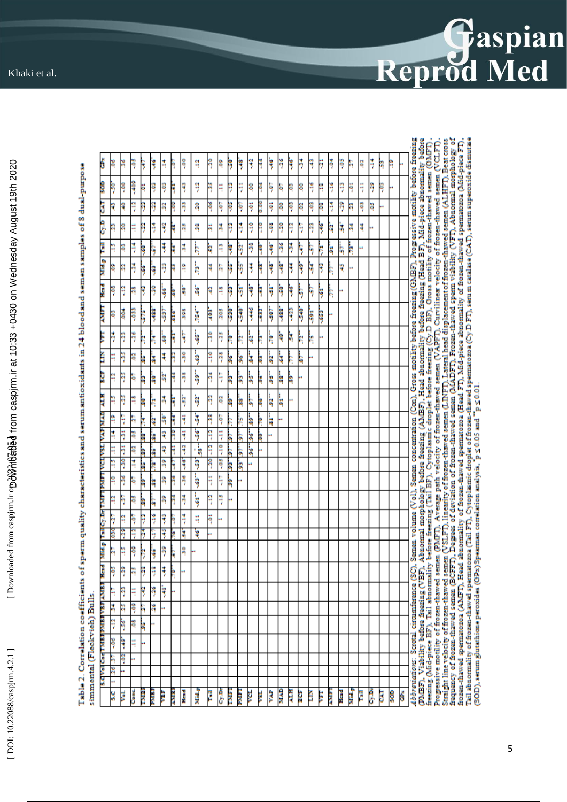| ants of sperm quality characteristics and serum antioxidants in 24 blood and semen samples of 8 dual-purpose |                  |  |
|--------------------------------------------------------------------------------------------------------------|------------------|--|
|                                                                                                              |                  |  |
|                                                                                                              |                  |  |
|                                                                                                              |                  |  |
|                                                                                                              |                  |  |
|                                                                                                              |                  |  |
|                                                                                                              |                  |  |
|                                                                                                              |                  |  |
|                                                                                                              |                  |  |
|                                                                                                              |                  |  |
|                                                                                                              |                  |  |
|                                                                                                              |                  |  |
|                                                                                                              |                  |  |
|                                                                                                              |                  |  |
|                                                                                                              |                  |  |
|                                                                                                              |                  |  |
|                                                                                                              |                  |  |
|                                                                                                              |                  |  |
|                                                                                                              |                  |  |
|                                                                                                              |                  |  |
|                                                                                                              |                  |  |
|                                                                                                              |                  |  |
|                                                                                                              |                  |  |
|                                                                                                              |                  |  |
|                                                                                                              |                  |  |
|                                                                                                              |                  |  |
|                                                                                                              |                  |  |
|                                                                                                              |                  |  |
|                                                                                                              |                  |  |
|                                                                                                              |                  |  |
|                                                                                                              |                  |  |
|                                                                                                              |                  |  |
|                                                                                                              |                  |  |
|                                                                                                              | /Flach-viah) RuP |  |
|                                                                                                              |                  |  |
|                                                                                                              |                  |  |
|                                                                                                              |                  |  |
|                                                                                                              |                  |  |
|                                                                                                              |                  |  |
|                                                                                                              |                  |  |

| Ş<br>ş<br>ķ<br>Ş<br>Ş<br>ķ<br>ę<br>ş<br>苛<br>٩<br>ă<br>ş<br>ă<br>Ħ<br>9P-<br>Ħ<br>ă<br>Ą<br>۹<br>۶<br>8<br>ş<br>Ĥ<br>ş<br>q<br>ş<br>ñ<br>-409<br>ă<br>Ņ<br>٢<br>ş<br>Ķ<br>-29<br>Ŗ<br>Ş<br>Ę<br>ę<br>Ę<br>ę<br>Ŗ<br>SO.<br>ă<br><b>COV</b><br>ą<br>H<br>ş<br>Ę<br>ä<br>S.<br>80.<br>Ħ<br>ă<br>ą<br>ŋ<br>- 06<br>80.0<br>ş<br>ş<br>h<br>ğ<br>ij<br>€Ø≻<br>ş<br>ą<br>ą<br>Ş<br>SO.<br>ş<br>ë<br>ş<br>ë<br>q<br>ş<br>ş<br>R<br>B<br>B<br>ş<br>ą<br>k<br>٩<br>Ş<br>Ę<br>°∏~<br>ą<br>ñ<br>ă<br>q<br>ă<br>ę<br>ş<br>Ŗ<br>Ħ<br>Ş<br>졐<br>苛<br>Ŋ<br>ą<br>ţ<br>轉<br>ķ<br>3<br>SE-<br>h<br>۶<br>ă<br>ş<br>8<br>ķ<br>ķ<br>۹<br>Ħ<br>ş<br>٩<br>ş<br>à,<br>ş<br>ķ<br>Ş<br>5<br>Ą<br>ķ<br>ķ<br>-481<br>ķ<br>5<br>ķ<br>ķ<br>ş<br>ţ<br>¥<br>٩<br>ķ<br>ş<br>٩<br>Ŗ<br>萼<br>ų<br>ą<br>ą<br>ķ<br>ą<br>Ŋ<br>-99<br>ķ<br>ķ<br>ķ<br>ş<br>ķ<br>ķ<br>ą<br>ş<br>.9P<br>38<br>۹<br>q<br>Ŗ<br>ą<br>Ŗ<br>Ş<br>ķ<br>ş<br>ş<br>Ŗ<br>ķ<br>-488<br>$-488$<br>597<br>540<br>592<br>$-507$<br>560-<br>393<br>-446<br>340<br>398<br>590<br><b>SOF</b><br>205<br>Ş<br>591<br>$-653$<br>316<br>ķ<br>$-26$<br>-89<br>ş<br>ş<br>Ş<br>ķ<br>ķ<br>Ę<br>ą<br>Ŋ<br>ķ<br>R<br>ķ<br>Ŗ<br>3<br>ķ<br>R<br>98,<br>5<br>ş<br>Ş<br>-26<br>ş<br>k<br>۱.<br>۹<br>S<br>복<br>ķ<br>à<br>à<br>à,<br>h<br>Б,<br>Ļ<br>38<br>Ķ<br>ţ<br>ş<br>ģ<br>-98<br>ş<br>5<br>Ş<br>ķ<br>à<br>ķ<br>ķ<br>à<br>ą<br>a<br>Ķ<br>٩<br>ş<br>H<br>k<br>ă<br>SG.<br>$\frac{1}{2}$<br>33<br>ş<br>à<br>ķ<br>Ŗ<br>31<br>ą<br>ļ,<br>٦<br>ģ<br>ÿ<br>ş<br>ķ<br>٩<br>Ş<br>ų<br>Ş<br>k<br>ķ<br>à<br>R<br>ķ<br>4<br>5<br>ą<br>å<br>Ę<br>ë<br>ą<br>k<br>š<br>5<br>h<br>å<br>Ş<br>$\frac{1}{2}$<br>5<br>ą<br>Ŧ<br>S<br>ą<br>'n<br>Ŀ<br>å<br>ï<br>à<br>R<br>ĥ<br>-46<br>96<br>$\frac{4}{3}$<br>99<br>ģ<br>$-05$<br>.<br>31<br>07.<br>b.<br>ķ<br>þ<br>k<br>36<br>-63-<br>ž<br>18<br>ž<br>Ę<br>å<br>Ş |
|--------------------------------------------------------------------------------------------------------------------------------------------------------------------------------------------------------------------------------------------------------------------------------------------------------------------------------------------------------------------------------------------------------------------------------------------------------------------------------------------------------------------------------------------------------------------------------------------------------------------------------------------------------------------------------------------------------------------------------------------------------------------------------------------------------------------------------------------------------------------------------------------------------------------------------------------------------------------------------------------------------------------------------------------------------------------------------------------------------------------------------------------------------------------------------------------------------------------------------------------------------------------------------------------------------------------------------------------------------------------------------------------------------------------------------------------------------------------------------------------------------------------------------------------------------------------------------------------------------------------------------------------------------------------------------------------------------------------------------------------------------------------------------------------------------|
|                                                                                                                                                                                                                                                                                                                                                                                                                                                                                                                                                                                                                                                                                                                                                                                                                                                                                                                                                                                                                                                                                                                                                                                                                                                                                                                                                                                                                                                                                                                                                                                                                                                                                                                                                                                                        |
|                                                                                                                                                                                                                                                                                                                                                                                                                                                                                                                                                                                                                                                                                                                                                                                                                                                                                                                                                                                                                                                                                                                                                                                                                                                                                                                                                                                                                                                                                                                                                                                                                                                                                                                                                                                                        |
|                                                                                                                                                                                                                                                                                                                                                                                                                                                                                                                                                                                                                                                                                                                                                                                                                                                                                                                                                                                                                                                                                                                                                                                                                                                                                                                                                                                                                                                                                                                                                                                                                                                                                                                                                                                                        |
|                                                                                                                                                                                                                                                                                                                                                                                                                                                                                                                                                                                                                                                                                                                                                                                                                                                                                                                                                                                                                                                                                                                                                                                                                                                                                                                                                                                                                                                                                                                                                                                                                                                                                                                                                                                                        |
|                                                                                                                                                                                                                                                                                                                                                                                                                                                                                                                                                                                                                                                                                                                                                                                                                                                                                                                                                                                                                                                                                                                                                                                                                                                                                                                                                                                                                                                                                                                                                                                                                                                                                                                                                                                                        |
|                                                                                                                                                                                                                                                                                                                                                                                                                                                                                                                                                                                                                                                                                                                                                                                                                                                                                                                                                                                                                                                                                                                                                                                                                                                                                                                                                                                                                                                                                                                                                                                                                                                                                                                                                                                                        |
|                                                                                                                                                                                                                                                                                                                                                                                                                                                                                                                                                                                                                                                                                                                                                                                                                                                                                                                                                                                                                                                                                                                                                                                                                                                                                                                                                                                                                                                                                                                                                                                                                                                                                                                                                                                                        |
|                                                                                                                                                                                                                                                                                                                                                                                                                                                                                                                                                                                                                                                                                                                                                                                                                                                                                                                                                                                                                                                                                                                                                                                                                                                                                                                                                                                                                                                                                                                                                                                                                                                                                                                                                                                                        |
|                                                                                                                                                                                                                                                                                                                                                                                                                                                                                                                                                                                                                                                                                                                                                                                                                                                                                                                                                                                                                                                                                                                                                                                                                                                                                                                                                                                                                                                                                                                                                                                                                                                                                                                                                                                                        |
|                                                                                                                                                                                                                                                                                                                                                                                                                                                                                                                                                                                                                                                                                                                                                                                                                                                                                                                                                                                                                                                                                                                                                                                                                                                                                                                                                                                                                                                                                                                                                                                                                                                                                                                                                                                                        |
|                                                                                                                                                                                                                                                                                                                                                                                                                                                                                                                                                                                                                                                                                                                                                                                                                                                                                                                                                                                                                                                                                                                                                                                                                                                                                                                                                                                                                                                                                                                                                                                                                                                                                                                                                                                                        |
|                                                                                                                                                                                                                                                                                                                                                                                                                                                                                                                                                                                                                                                                                                                                                                                                                                                                                                                                                                                                                                                                                                                                                                                                                                                                                                                                                                                                                                                                                                                                                                                                                                                                                                                                                                                                        |
|                                                                                                                                                                                                                                                                                                                                                                                                                                                                                                                                                                                                                                                                                                                                                                                                                                                                                                                                                                                                                                                                                                                                                                                                                                                                                                                                                                                                                                                                                                                                                                                                                                                                                                                                                                                                        |
|                                                                                                                                                                                                                                                                                                                                                                                                                                                                                                                                                                                                                                                                                                                                                                                                                                                                                                                                                                                                                                                                                                                                                                                                                                                                                                                                                                                                                                                                                                                                                                                                                                                                                                                                                                                                        |
|                                                                                                                                                                                                                                                                                                                                                                                                                                                                                                                                                                                                                                                                                                                                                                                                                                                                                                                                                                                                                                                                                                                                                                                                                                                                                                                                                                                                                                                                                                                                                                                                                                                                                                                                                                                                        |
|                                                                                                                                                                                                                                                                                                                                                                                                                                                                                                                                                                                                                                                                                                                                                                                                                                                                                                                                                                                                                                                                                                                                                                                                                                                                                                                                                                                                                                                                                                                                                                                                                                                                                                                                                                                                        |
|                                                                                                                                                                                                                                                                                                                                                                                                                                                                                                                                                                                                                                                                                                                                                                                                                                                                                                                                                                                                                                                                                                                                                                                                                                                                                                                                                                                                                                                                                                                                                                                                                                                                                                                                                                                                        |
|                                                                                                                                                                                                                                                                                                                                                                                                                                                                                                                                                                                                                                                                                                                                                                                                                                                                                                                                                                                                                                                                                                                                                                                                                                                                                                                                                                                                                                                                                                                                                                                                                                                                                                                                                                                                        |
|                                                                                                                                                                                                                                                                                                                                                                                                                                                                                                                                                                                                                                                                                                                                                                                                                                                                                                                                                                                                                                                                                                                                                                                                                                                                                                                                                                                                                                                                                                                                                                                                                                                                                                                                                                                                        |
|                                                                                                                                                                                                                                                                                                                                                                                                                                                                                                                                                                                                                                                                                                                                                                                                                                                                                                                                                                                                                                                                                                                                                                                                                                                                                                                                                                                                                                                                                                                                                                                                                                                                                                                                                                                                        |
|                                                                                                                                                                                                                                                                                                                                                                                                                                                                                                                                                                                                                                                                                                                                                                                                                                                                                                                                                                                                                                                                                                                                                                                                                                                                                                                                                                                                                                                                                                                                                                                                                                                                                                                                                                                                        |
|                                                                                                                                                                                                                                                                                                                                                                                                                                                                                                                                                                                                                                                                                                                                                                                                                                                                                                                                                                                                                                                                                                                                                                                                                                                                                                                                                                                                                                                                                                                                                                                                                                                                                                                                                                                                        |
|                                                                                                                                                                                                                                                                                                                                                                                                                                                                                                                                                                                                                                                                                                                                                                                                                                                                                                                                                                                                                                                                                                                                                                                                                                                                                                                                                                                                                                                                                                                                                                                                                                                                                                                                                                                                        |
|                                                                                                                                                                                                                                                                                                                                                                                                                                                                                                                                                                                                                                                                                                                                                                                                                                                                                                                                                                                                                                                                                                                                                                                                                                                                                                                                                                                                                                                                                                                                                                                                                                                                                                                                                                                                        |
|                                                                                                                                                                                                                                                                                                                                                                                                                                                                                                                                                                                                                                                                                                                                                                                                                                                                                                                                                                                                                                                                                                                                                                                                                                                                                                                                                                                                                                                                                                                                                                                                                                                                                                                                                                                                        |
|                                                                                                                                                                                                                                                                                                                                                                                                                                                                                                                                                                                                                                                                                                                                                                                                                                                                                                                                                                                                                                                                                                                                                                                                                                                                                                                                                                                                                                                                                                                                                                                                                                                                                                                                                                                                        |

Reprod Med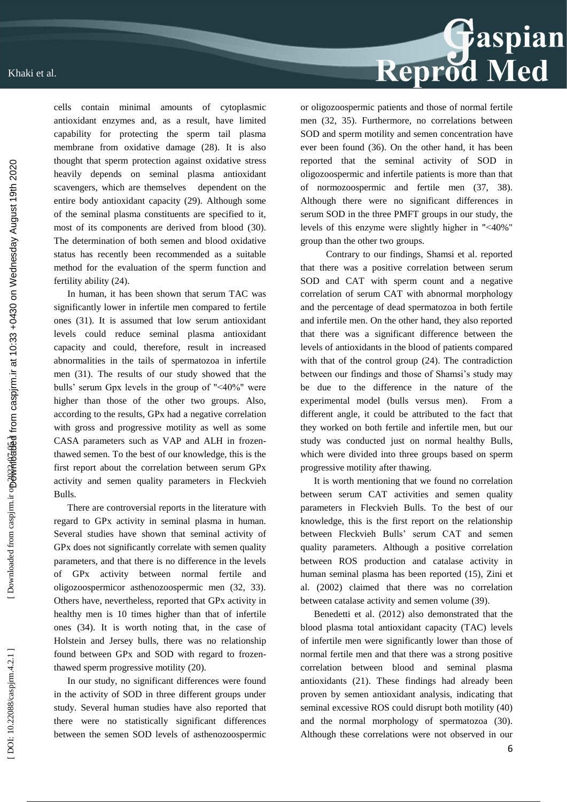cells contain minimal amounts of cytoplasmic antioxidant enzymes and, as a result, have limited capability for protecting the sperm tail plasma membrane from oxidative damage (28). It is also thought that sperm protection against oxidative stress heavily depends on seminal plasma antioxidant scavengers, which are themselves dependent on the entire body antioxidant capacity (29). Although some of the seminal plasma constituents are specified to it, most of its components are derived from blood (30). The determination of both semen and blood oxidative status has recently been recommended as a suitable method for the evaluation of the sperm function and fertility ability (24).

In human, it has been shown that serum TAC was significantly lower in infertile men compared to fertile ones (31). It is assumed that low serum antioxidant levels could reduce seminal plasma antioxidant capacity and could, therefore, result in increased abnormalities in the tails of spermatozoa in infertile men (31). The results of our study showed that the bulls' serum Gpx levels in the group of "˂40%" were higher than those of the other two groups. Also, according to the results, GPx had a negative correlation with gross and progressive motility as well as some CASA parameters such as VAP and ALH in frozen thawed semen. To the best of our knowledge, this is the first report about the correlation between serum GPx activity and semen quality parameters in Fleckvieh Bulls.

There are controversial reports in the literature with regard to GPx activity in seminal plasma in human. Several studies have shown that seminal activity of GPx does not significantly correlate with semen quality parameters, and that there is no difference in the levels of GPx activity between normal fertile and oligozoospermicor asthenozoospermic men (32, 33). Others have, nevertheless, reported that GPx activity in healthy men is 10 times higher than that of infertile ones (34). It is worth noting that, in the case of Holstein and Jersey bulls, there was no relationship found between GPx and SOD with regard to frozen thawed sperm progressive motility (20).

In our study, no significant differences were found in the activity of SOD in three different groups under study. Several human studies have also reported that there were no statistically significant differences between the semen SOD levels of asthenozoospermic or oligozoospermic patients and those of normal fertile men (32, 35). Furthermore, no correlations between SOD and sperm motility and semen concentration have ever been found (36). On the other hand, it has been reported that the seminal activity of SOD in oligozoospermic and infertile patients is more than that of normozoospermic and fertile men (37, 38). Although there were no significant differences in serum SOD in the three PMFT groups in our study, the levels of this enzyme were slightly higher in "˂40%" group than the other two groups.

 Contrary to our findings, Shamsi et al. reported that there was a positive correlation between serum SOD and CAT with sperm count and a negative correlation of serum CAT with abnormal morphology and the percentage of dead spermatozoa in both fertile and infertile men. On the other hand, they also reported that there was a significant difference between the levels of antioxidants in the blood of patients compared with that of the control group (24). The contradiction between our findings and those of Shamsi's study may be due to the difference in the nature of the experimental model (bulls versus men). From a different angle, it could be attributed to the fact that they worked on both fertile and infertile men, but our study was conducted just on normal healthy Bulls, which were divided into three groups based on sperm progressive motility after thawing.

It is worth mentioning that we found no correlation between serum CAT activities and semen quality parameters in Fleckvieh Bulls. To the best of our knowledge, this is the first report on the relationship between Fleckvieh Bulls' serum CAT and semen quality parameters. Although a positive correlation between ROS production and catalase activity in human seminal plasma has been reported (15), Zini et al. (2002) claimed that there was no correlation between catalase activity and semen volume (39).

Benedetti et al. (2012) also demonstrated that the blood plasma total antioxidant capacity (TAC) levels of infertile men were significantly lower than those of normal fertile men and that there was a strong positive correlation between blood and seminal plasma antioxidants (21). These findings had already been proven by semen antioxidant analysis, indicating that seminal excessive ROS could disrupt both motility (40) and the normal morphology of spermatozoa (30). Although these correlations were not observed in our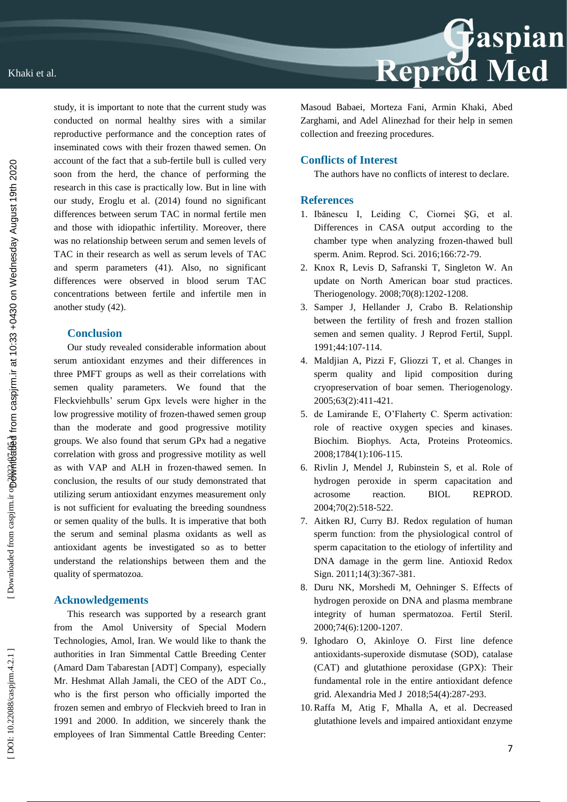

study, it is important to note that the current study was conducted on normal healthy sires with a similar reproductive performance and the conception rates of inseminated cows with their frozen thawed semen. On account of the fact that a sub -fertile bull is culled very soon from the herd, the chance of performing the research in this case is practically low. But in line with our study, Eroglu et al. (2014) found no significant differences between serum TAC in normal fertile men and those with idiopathic infertility. Moreover, there was no relationship between serum and semen levels of TAC in their research as well as serum levels of TAC and sperm parameters (41). Also, no significant differences were observed in blood serum TAC concentrations between fertile and infertile men in another study (42).

## **Conclusion**

Our study revealed considerable information about serum antioxidant enzymes and their differences in three PMFT groups as well as their correlations with semen quality parameters. We found that the Fleckviehbulls' serum Gpx levels were higher in the low progressive motility of frozen -thawed semen group than the moderate and good progressive motility groups. We also found that serum GPx had a negative correlation with gross and progressive motility as well as with VAP and ALH in frozen -thawed semen. In conclusion, the results of our study demonstrated that utilizing serum antioxidant enzymes measurement only is not sufficient for evaluating the breeding soundness or semen quality of the bulls. It is imperative that both the serum and seminal plasma oxidants as well as antioxidant agents be investigated so as to better understand the relationships between them and the quality of spermatozoa.

### **Acknowledgements**

This research was supported by a research grant from the Amol University of Special Modern Technologies, Amol, Iran. We would like to thank the authorities in Iran Simmental Cattle Breeding Center (Amard Dam Tabarestan [ADT] Company), especially Mr. Heshmat Allah Jamali, the CEO of the ADT Co., who is the first person who officially imported the frozen semen and embryo of Fleckvieh breed to Iran in 1991 and 2000. In addition, we sincerely thank the employees of Iran Simmental Cattle Breeding Center:

Masoud Babaei, Morteza Fani, Armin Khaki, Abed Zarghami, and Adel Alinezhad for their help in semen collection and freezing procedures.

## **Conflicts of Interest**

The authors have no conflicts of interest to declare.

#### **References**

- 1. Ibănescu I, Leiding C, Ciornei ŞG, et al. Differences in CASA output according to the chamber type when analyzing frozen -thawed bull sperm. Anim. Reprod. Sci. 2016;166:72 -79.
- 2. Knox R, Levis D, Safranski T, Singleton W. An update on North American boar stud practices. Theriogenology. 2008;70(8):1202 -1208.
- 3. Samper J, Hellander J, Crabo B. Relationship between the fertility of fresh and frozen stallion semen and semen quality. J Reprod Fertil, Suppl. 1991;44:107 -114.
- 4. Maldjian A, Pizzi F, Gliozzi T, et al. Changes in sperm quality and lipid composition during cryopreservation of boar semen. Theriogenology. 2005;63(2):411 -421.
- 5. de Lamirande E, O'Flaherty C. Sperm activation: role of reactive oxygen species and kinases. Biochim. Biophys. Acta, Proteins Proteomics. 2008;1784(1):106 -115.
- 6. Rivlin J, Mendel J, Rubinstein S, et al. Role of hydrogen peroxide in sperm capacitation and acrosome reaction. BIOL REPROD. 2004;70(2):518 -522.
- 7. Aitken RJ, Curry BJ. Redox regulation of human sperm function: from the physiological control of sperm capacitation to the etiology of infertility and DNA damage in the germ line. Antioxid Redox Sign. 2011;14(3):367 -381.
- 8. Duru NK, Morshedi M, Oehninger S. Effects of hydrogen peroxide on DNA and plasma membrane integrity of human spermatozoa. Fertil Steril. 2000;74(6):1200 -1207.
- 9. Ighodaro O, Akinloye O. First line defence antioxidants -superoxide dismutase (SOD), catalase (CAT) and glutathione peroxidase (GPX): Their fundamental role in the entire antioxidant defence grid. Alexandria Med J 2018;54(4):287 -293.
- 10.Raffa M, Atig F, Mhalla A, et al. Decreased glutathione levels and impaired antioxidant enzyme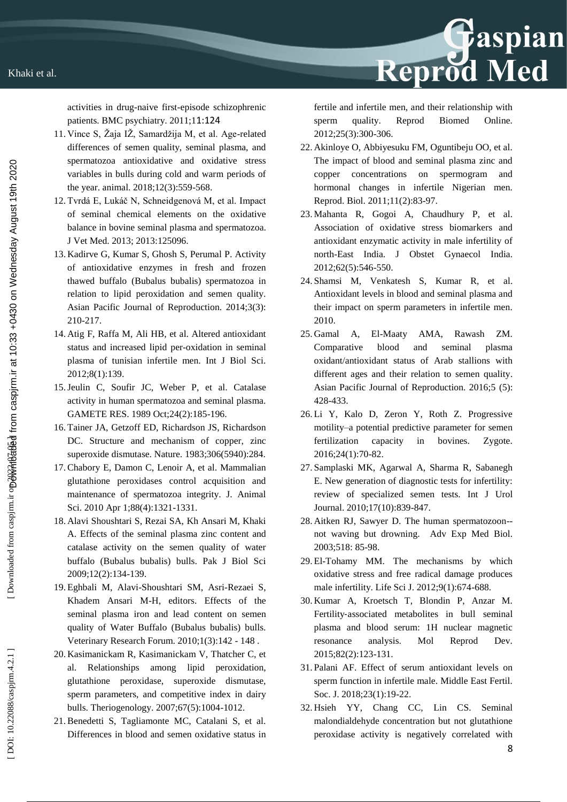activities in drug -naive first -episode schizophrenic patients. BMC psychiatry. 2011;11:124

- 11. Vince S, Žaja IŽ, Samardžija M, et al. Age -related differences of semen quality, seminal plasma, and spermatozoa antioxidative and oxidative stress variables in bulls during cold and warm periods of the year. animal. 2018;12(3):559 -568.
- 12. Tvrdá E, Lukáč N, Schneidgenová M, et al. Impact of seminal chemical elements on the oxidative balance in bovine seminal plasma and spermatozoa. J Vet Med. 2013; 2013:125096.
- 13. Kadirve G, Kumar S, Ghosh S, Perumal P. Activity of antioxidative enzymes in fresh and frozen thawed buffalo (Bubalus bubalis) spermatozoa in relation to lipid peroxidation and semen quality. Asian Pacific Journal of Reproduction. 2014;3(3): 210 -217.
- 14. Atig F, Raffa M, Ali HB, et al. Altered antioxidant status and increased lipid per -oxidation in seminal plasma of tunisian infertile men. Int J Biol Sci. 2012;8(1):139.
- 15.Jeulin C, Soufir JC, Weber P, et al. Catalase activity in human spermatozoa and seminal plasma. GAMETE RES. 1989 Oct;24(2):185 -196.
- 16. Tainer JA, Getzoff ED, Richardson JS, Richardson DC. Structure and mechanism of copper, zinc superoxide dismutase. Nature. 1983;306(5940):284.
- 17.Chabory E, Damon C, Lenoir A, et al. Mammalian glutathione peroxidases control acquisition and maintenance of spermatozoa integrity. J. Animal Sci. 2010 Apr 1;88(4):1321 -1331.
- 18. Alavi Shoushtari S, Rezai SA, Kh Ansari M, Khaki A. Effects of the seminal plasma zinc content and catalase activity on the semen quality of water buffalo (Bubalus bubalis) bulls. Pak J Biol Sci 2009;12(2):134 -139.
- 19. Eghbali M, Alavi -Shoushtari SM, Asri -Rezaei S, Khadem Ansari M -H, editors. Effects of the seminal plasma iron and lead content on semen quality of Water Buffalo (Bubalus bubalis) bulls. Veterinary Research Forum. 2010;1(3):142 - 148 .
- 20. Kasimanickam R, Kasimanickam V, Thatcher C, et al. Relationships among lipid peroxidation, glutathione peroxidase, superoxide dismutase, sperm parameters, and competitive index in dairy bulls. Theriogenology. 2007;67(5):1004 -1012.
- 21.Benedetti S, Tagliamonte MC, Catalani S, et al. Differences in blood and semen oxidative status in

fertile and infertile men, and their relationship with sperm quality. Reprod Biomed Online. 2012;25(3):300 -306.

Reprod Med

- 22. Akinloye O, Abbiyesuku FM, Oguntibeju OO, et al. The impact of blood and seminal plasma zinc and copper concentrations on spermogram and hormonal changes in infertile Nigerian men. Reprod. Biol. 2011;11(2):83 -97.
- 23. Mahanta R, Gogoi A, Chaudhury P, et al. Association of oxidative stress biomarkers and antioxidant enzymatic activity in male infertility of north -East India. J Obstet Gynaecol India. 2012;62(5):546 -550.
- 24. Shamsi M, Venkatesh S, Kumar R, et al. Antioxidant levels in blood and seminal plasma and their impact on sperm parameters in infertile men. 2010.
- 25. Gamal A, El AMA. Rawash ZM. Comparative blood and seminal plasma oxidant/antioxidant status of Arab stallions with different ages and their relation to semen quality. Asian Pacific Journal of Reproduction. 2016;5 (5): 428 -433.
- 26. Li Y, Kalo D, Zeron Y, Roth Z. Progressive motility –a potential predictive parameter for semen fertilization capacity in bovines. Zygote. 2016;24(1):70 -82.
- 27 . Samplaski MK, Agarwal A, Sharma R, Sabanegh E. New generation of diagnostic tests for infertility: review of specialized semen tests. Int J Urol Journal. 2010;17(10):839 -847.
- 28. Aitken RJ, Sawyer D. The human spermatozoon- not waving but drowning. Adv Exp Med Biol. 2003;518: 85 -98.
- 29. El -Tohamy MM. The mechanisms by which oxidative stress and free radical damage produces male infertility. Life Sci J. 2012;9(1):674 -688.
- 30. Kumar A, Kroetsch T, Blondin P, Anzar M. Fertility ‐associated metabolites in bull seminal plasma and blood serum: 1H nuclear magnetic resonance analysis. Mol Reprod Dev. 2015;82(2):123 -131.
- 31. Palani AF. Effect of serum antioxidant levels on sperm function in infertile male. Middle East Fertil. Soc. J. 2018;23(1):19 -22.
- 32. Hsieh YY, Chang CC, Lin CS. Seminal malondialdehyde concentration but not glutathione peroxidase activity is negatively correlated with

DOI: 10.22088/caspjrm.4.2.1]